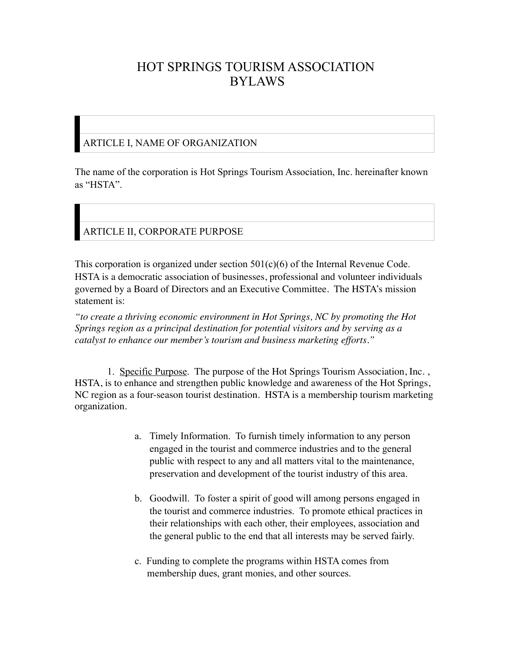# HOT SPRINGS TOURISM ASSOCIATION BYLAWS

#### ARTICLE I, NAME OF ORGANIZATION

The name of the corporation is Hot Springs Tourism Association, Inc. hereinafter known as "HSTA".

### ARTICLE II, CORPORATE PURPOSE

This corporation is organized under section  $501(c)(6)$  of the Internal Revenue Code. HSTA is a democratic association of businesses, professional and volunteer individuals governed by a Board of Directors and an Executive Committee. The HSTA's mission statement is:

*"to create a thriving economic environment in Hot Springs, NC by promoting the Hot Springs region as a principal destination for potential visitors and by serving as a catalyst to enhance our member's tourism and business marketing efforts."*

1. Specific Purpose. The purpose of the Hot Springs Tourism Association, Inc. , HSTA, is to enhance and strengthen public knowledge and awareness of the Hot Springs, NC region as a four-season tourist destination. HSTA is a membership tourism marketing organization.

- a. Timely Information. To furnish timely information to any person engaged in the tourist and commerce industries and to the general public with respect to any and all matters vital to the maintenance, preservation and development of the tourist industry of this area.
- b. Goodwill. To foster a spirit of good will among persons engaged in the tourist and commerce industries. To promote ethical practices in their relationships with each other, their employees, association and the general public to the end that all interests may be served fairly.
- c. Funding to complete the programs within HSTA comes from membership dues, grant monies, and other sources.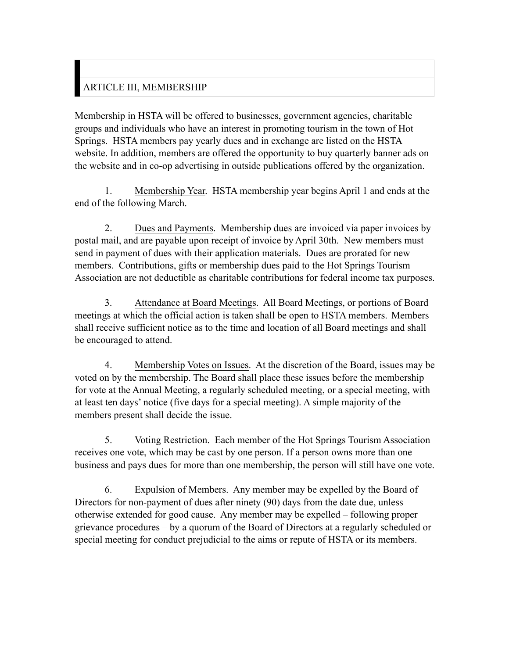# ARTICLE III, MEMBERSHIP

Membership in HSTA will be offered to businesses, government agencies, charitable groups and individuals who have an interest in promoting tourism in the town of Hot Springs. HSTA members pay yearly dues and in exchange are listed on the HSTA website. In addition, members are offered the opportunity to buy quarterly banner ads on the website and in co-op advertising in outside publications offered by the organization.

1. Membership Year. HSTA membership year begins April 1 and ends at the end of the following March.

2. Dues and Payments. Membership dues are invoiced via paper invoices by postal mail, and are payable upon receipt of invoice by April 30th. New members must send in payment of dues with their application materials. Dues are prorated for new members. Contributions, gifts or membership dues paid to the Hot Springs Tourism Association are not deductible as charitable contributions for federal income tax purposes.

3. Attendance at Board Meetings. All Board Meetings, or portions of Board meetings at which the official action is taken shall be open to HSTA members. Members shall receive sufficient notice as to the time and location of all Board meetings and shall be encouraged to attend.

4. Membership Votes on Issues. At the discretion of the Board, issues may be voted on by the membership. The Board shall place these issues before the membership for vote at the Annual Meeting, a regularly scheduled meeting, or a special meeting, with at least ten days' notice (five days for a special meeting). A simple majority of the members present shall decide the issue.

5. Voting Restriction. Each member of the Hot Springs Tourism Association receives one vote, which may be cast by one person. If a person owns more than one business and pays dues for more than one membership, the person will still have one vote.

6. Expulsion of Members. Any member may be expelled by the Board of Directors for non-payment of dues after ninety (90) days from the date due, unless otherwise extended for good cause. Any member may be expelled – following proper grievance procedures – by a quorum of the Board of Directors at a regularly scheduled or special meeting for conduct prejudicial to the aims or repute of HSTA or its members.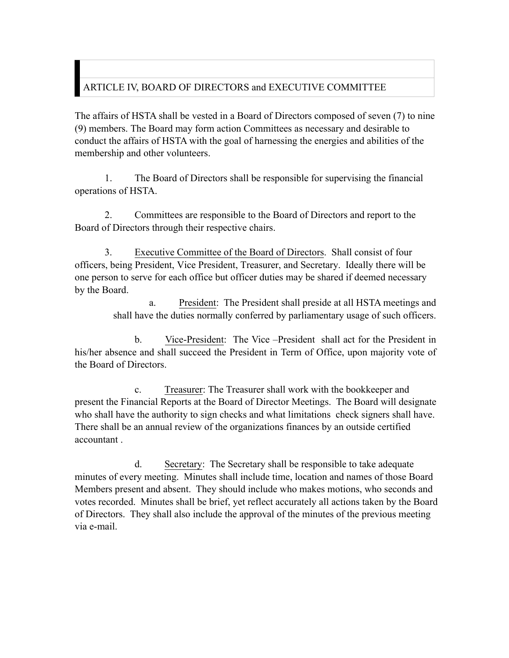# ARTICLE IV, BOARD OF DIRECTORS and EXECUTIVE COMMITTEE

The affairs of HSTA shall be vested in a Board of Directors composed of seven (7) to nine (9) members. The Board may form action Committees as necessary and desirable to conduct the affairs of HSTA with the goal of harnessing the energies and abilities of the membership and other volunteers.

1. The Board of Directors shall be responsible for supervising the financial operations of HSTA.

2. Committees are responsible to the Board of Directors and report to the Board of Directors through their respective chairs.

3. Executive Committee of the Board of Directors. Shall consist of four officers, being President, Vice President, Treasurer, and Secretary. Ideally there will be one person to serve for each office but officer duties may be shared if deemed necessary by the Board.

> a. President: The President shall preside at all HSTA meetings and shall have the duties normally conferred by parliamentary usage of such officers.

b. Vice-President: The Vice –President shall act for the President in his/her absence and shall succeed the President in Term of Office, upon majority vote of the Board of Directors.

c. Treasurer: The Treasurer shall work with the bookkeeper and present the Financial Reports at the Board of Director Meetings. The Board will designate who shall have the authority to sign checks and what limitations check signers shall have. There shall be an annual review of the organizations finances by an outside certified accountant .

d. Secretary: The Secretary shall be responsible to take adequate minutes of every meeting. Minutes shall include time, location and names of those Board Members present and absent. They should include who makes motions, who seconds and votes recorded. Minutes shall be brief, yet reflect accurately all actions taken by the Board of Directors. They shall also include the approval of the minutes of the previous meeting via e-mail.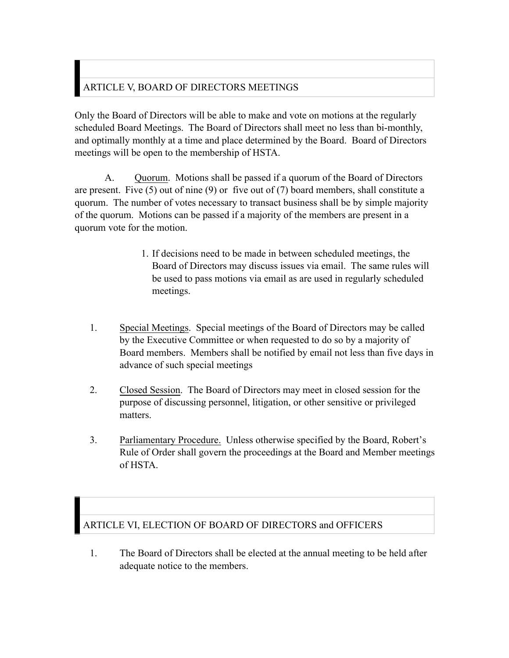# ARTICLE V, BOARD OF DIRECTORS MEETINGS

Only the Board of Directors will be able to make and vote on motions at the regularly scheduled Board Meetings. The Board of Directors shall meet no less than bi-monthly, and optimally monthly at a time and place determined by the Board. Board of Directors meetings will be open to the membership of HSTA.

A. Quorum. Motions shall be passed if a quorum of the Board of Directors are present. Five (5) out of nine (9) or five out of (7) board members, shall constitute a quorum. The number of votes necessary to transact business shall be by simple majority of the quorum. Motions can be passed if a majority of the members are present in a quorum vote for the motion.

- 1. If decisions need to be made in between scheduled meetings, the Board of Directors may discuss issues via email. The same rules will be used to pass motions via email as are used in regularly scheduled meetings.
- 1. Special Meetings. Special meetings of the Board of Directors may be called by the Executive Committee or when requested to do so by a majority of Board members. Members shall be notified by email not less than five days in advance of such special meetings
- 2. Closed Session. The Board of Directors may meet in closed session for the purpose of discussing personnel, litigation, or other sensitive or privileged matters.
- 3. Parliamentary Procedure. Unless otherwise specified by the Board, Robert's Rule of Order shall govern the proceedings at the Board and Member meetings of HSTA.

#### ARTICLE VI, ELECTION OF BOARD OF DIRECTORS and OFFICERS

1. The Board of Directors shall be elected at the annual meeting to be held after adequate notice to the members.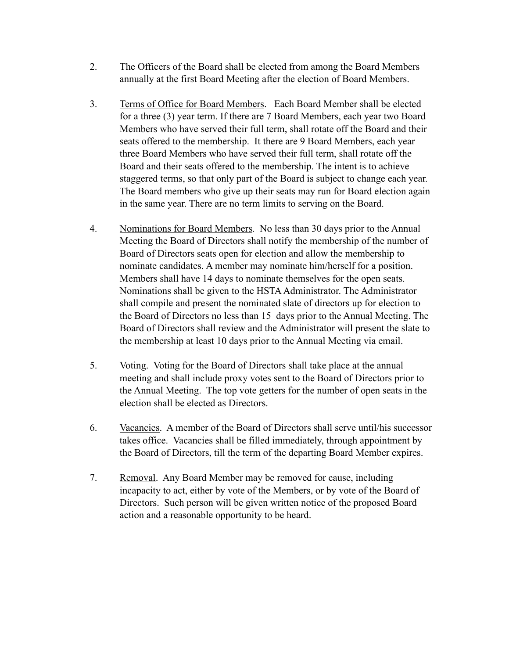- 2. The Officers of the Board shall be elected from among the Board Members annually at the first Board Meeting after the election of Board Members.
- 3. Terms of Office for Board Members. Each Board Member shall be elected for a three (3) year term. If there are 7 Board Members, each year two Board Members who have served their full term, shall rotate off the Board and their seats offered to the membership. It there are 9 Board Members, each year three Board Members who have served their full term, shall rotate off the Board and their seats offered to the membership. The intent is to achieve staggered terms, so that only part of the Board is subject to change each year. The Board members who give up their seats may run for Board election again in the same year. There are no term limits to serving on the Board.
- 4. Nominations for Board Members. No less than 30 days prior to the Annual Meeting the Board of Directors shall notify the membership of the number of Board of Directors seats open for election and allow the membership to nominate candidates. A member may nominate him/herself for a position. Members shall have 14 days to nominate themselves for the open seats. Nominations shall be given to the HSTA Administrator. The Administrator shall compile and present the nominated slate of directors up for election to the Board of Directors no less than 15 days prior to the Annual Meeting. The Board of Directors shall review and the Administrator will present the slate to the membership at least 10 days prior to the Annual Meeting via email.
- 5. Voting. Voting for the Board of Directors shall take place at the annual meeting and shall include proxy votes sent to the Board of Directors prior to the Annual Meeting. The top vote getters for the number of open seats in the election shall be elected as Directors.
- 6. Vacancies. A member of the Board of Directors shall serve until/his successor takes office. Vacancies shall be filled immediately, through appointment by the Board of Directors, till the term of the departing Board Member expires.
- 7. Removal. Any Board Member may be removed for cause, including incapacity to act, either by vote of the Members, or by vote of the Board of Directors. Such person will be given written notice of the proposed Board action and a reasonable opportunity to be heard.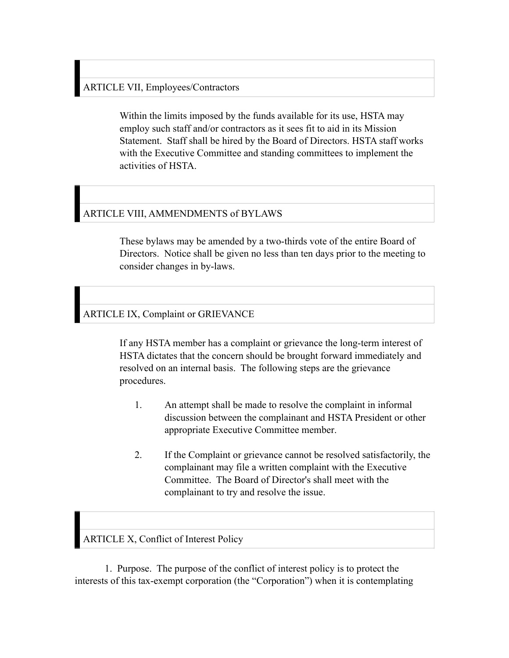### ARTICLE VII, Employees/Contractors

Within the limits imposed by the funds available for its use, HSTA may employ such staff and/or contractors as it sees fit to aid in its Mission Statement. Staff shall be hired by the Board of Directors. HSTA staff works with the Executive Committee and standing committees to implement the activities of HSTA.

### ARTICLE VIII, AMMENDMENTS of BYLAWS

These bylaws may be amended by a two-thirds vote of the entire Board of Directors. Notice shall be given no less than ten days prior to the meeting to consider changes in by-laws.

ARTICLE IX, Complaint or GRIEVANCE

If any HSTA member has a complaint or grievance the long-term interest of HSTA dictates that the concern should be brought forward immediately and resolved on an internal basis. The following steps are the grievance procedures.

- 1. An attempt shall be made to resolve the complaint in informal discussion between the complainant and HSTA President or other appropriate Executive Committee member.
- 2. If the Complaint or grievance cannot be resolved satisfactorily, the complainant may file a written complaint with the Executive Committee. The Board of Director's shall meet with the complainant to try and resolve the issue.

ARTICLE X, Conflict of Interest Policy

1. Purpose. The purpose of the conflict of interest policy is to protect the interests of this tax-exempt corporation (the "Corporation") when it is contemplating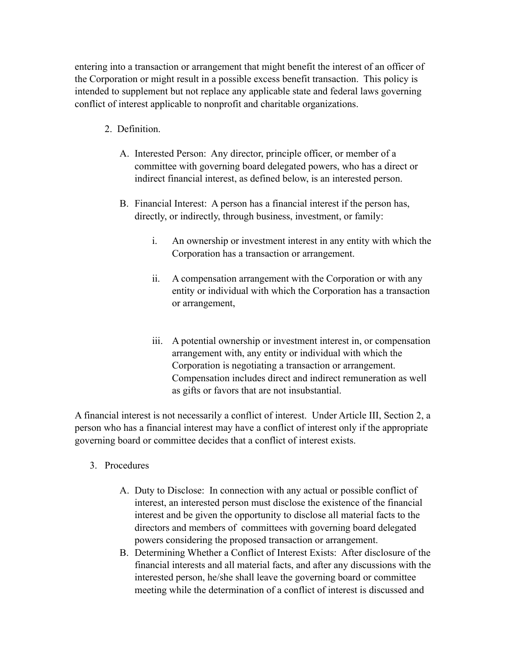entering into a transaction or arrangement that might benefit the interest of an officer of the Corporation or might result in a possible excess benefit transaction. This policy is intended to supplement but not replace any applicable state and federal laws governing conflict of interest applicable to nonprofit and charitable organizations.

- 2. Definition.
	- A. Interested Person: Any director, principle officer, or member of a committee with governing board delegated powers, who has a direct or indirect financial interest, as defined below, is an interested person.
	- B. Financial Interest: A person has a financial interest if the person has, directly, or indirectly, through business, investment, or family:
		- i. An ownership or investment interest in any entity with which the Corporation has a transaction or arrangement.
		- ii. A compensation arrangement with the Corporation or with any entity or individual with which the Corporation has a transaction or arrangement,
		- iii. A potential ownership or investment interest in, or compensation arrangement with, any entity or individual with which the Corporation is negotiating a transaction or arrangement. Compensation includes direct and indirect remuneration as well as gifts or favors that are not insubstantial.

A financial interest is not necessarily a conflict of interest. Under Article III, Section 2, a person who has a financial interest may have a conflict of interest only if the appropriate governing board or committee decides that a conflict of interest exists.

- 3. Procedures
	- A. Duty to Disclose: In connection with any actual or possible conflict of interest, an interested person must disclose the existence of the financial interest and be given the opportunity to disclose all material facts to the directors and members of committees with governing board delegated powers considering the proposed transaction or arrangement.
	- B. Determining Whether a Conflict of Interest Exists: After disclosure of the financial interests and all material facts, and after any discussions with the interested person, he/she shall leave the governing board or committee meeting while the determination of a conflict of interest is discussed and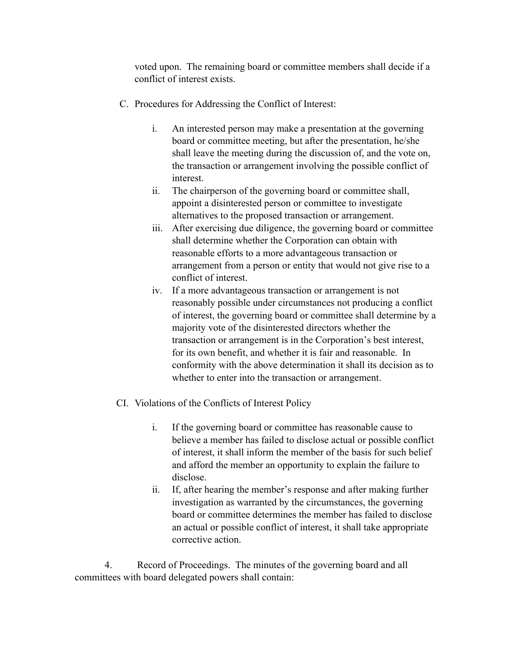voted upon. The remaining board or committee members shall decide if a conflict of interest exists.

- C. Procedures for Addressing the Conflict of Interest:
	- i. An interested person may make a presentation at the governing board or committee meeting, but after the presentation, he/she shall leave the meeting during the discussion of, and the vote on, the transaction or arrangement involving the possible conflict of interest.
	- ii. The chairperson of the governing board or committee shall, appoint a disinterested person or committee to investigate alternatives to the proposed transaction or arrangement.
	- iii. After exercising due diligence, the governing board or committee shall determine whether the Corporation can obtain with reasonable efforts to a more advantageous transaction or arrangement from a person or entity that would not give rise to a conflict of interest.
	- iv. If a more advantageous transaction or arrangement is not reasonably possible under circumstances not producing a conflict of interest, the governing board or committee shall determine by a majority vote of the disinterested directors whether the transaction or arrangement is in the Corporation's best interest, for its own benefit, and whether it is fair and reasonable. In conformity with the above determination it shall its decision as to whether to enter into the transaction or arrangement.
- CI. Violations of the Conflicts of Interest Policy
	- i. If the governing board or committee has reasonable cause to believe a member has failed to disclose actual or possible conflict of interest, it shall inform the member of the basis for such belief and afford the member an opportunity to explain the failure to disclose.
	- ii. If, after hearing the member's response and after making further investigation as warranted by the circumstances, the governing board or committee determines the member has failed to disclose an actual or possible conflict of interest, it shall take appropriate corrective action.

4. Record of Proceedings. The minutes of the governing board and all committees with board delegated powers shall contain: